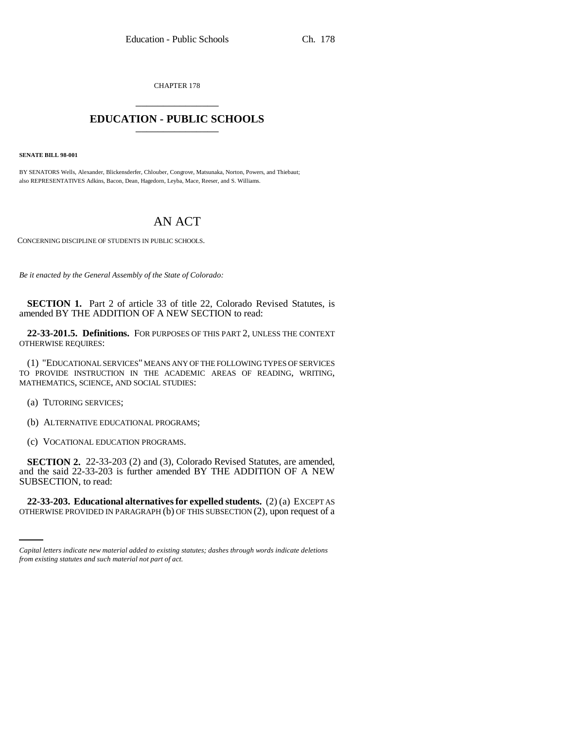CHAPTER 178 \_\_\_\_\_\_\_\_\_\_\_\_\_\_\_

## **EDUCATION - PUBLIC SCHOOLS** \_\_\_\_\_\_\_\_\_\_\_\_\_\_\_

**SENATE BILL 98-001**

BY SENATORS Wells, Alexander, Blickensderfer, Chlouber, Congrove, Matsunaka, Norton, Powers, and Thiebaut; also REPRESENTATIVES Adkins, Bacon, Dean, Hagedorn, Leyba, Mace, Reeser, and S. Williams.

## AN ACT

CONCERNING DISCIPLINE OF STUDENTS IN PUBLIC SCHOOLS.

*Be it enacted by the General Assembly of the State of Colorado:*

**SECTION 1.** Part 2 of article 33 of title 22, Colorado Revised Statutes, is amended BY THE ADDITION OF A NEW SECTION to read:

**22-33-201.5. Definitions.** FOR PURPOSES OF THIS PART 2, UNLESS THE CONTEXT OTHERWISE REQUIRES:

(1) "EDUCATIONAL SERVICES" MEANS ANY OF THE FOLLOWING TYPES OF SERVICES TO PROVIDE INSTRUCTION IN THE ACADEMIC AREAS OF READING, WRITING, MATHEMATICS, SCIENCE, AND SOCIAL STUDIES:

(a) TUTORING SERVICES;

(b) ALTERNATIVE EDUCATIONAL PROGRAMS;

(c) VOCATIONAL EDUCATION PROGRAMS.

**SECTION 2.** 22-33-203 (2) and (3), Colorado Revised Statutes, are amended, and the said 22-33-203 is further amended BY THE ADDITION OF A NEW SUBSECTION, to read:

in<br>Salah **22-33-203. Educational alternatives for expelled students.** (2) (a) EXCEPT AS OTHERWISE PROVIDED IN PARAGRAPH (b) OF THIS SUBSECTION (2), upon request of a

*Capital letters indicate new material added to existing statutes; dashes through words indicate deletions from existing statutes and such material not part of act.*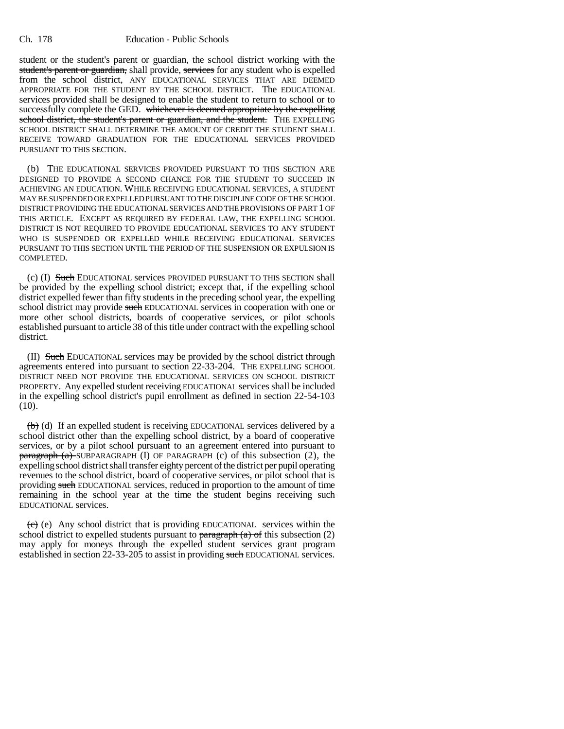student or the student's parent or guardian, the school district working with the student's parent or guardian, shall provide, services for any student who is expelled from the school district, ANY EDUCATIONAL SERVICES THAT ARE DEEMED APPROPRIATE FOR THE STUDENT BY THE SCHOOL DISTRICT. The EDUCATIONAL services provided shall be designed to enable the student to return to school or to successfully complete the GED. whichever is deemed appropriate by the expelling school district, the student's parent or guardian, and the student. THE EXPELLING SCHOOL DISTRICT SHALL DETERMINE THE AMOUNT OF CREDIT THE STUDENT SHALL RECEIVE TOWARD GRADUATION FOR THE EDUCATIONAL SERVICES PROVIDED PURSUANT TO THIS SECTION.

(b) THE EDUCATIONAL SERVICES PROVIDED PURSUANT TO THIS SECTION ARE DESIGNED TO PROVIDE A SECOND CHANCE FOR THE STUDENT TO SUCCEED IN ACHIEVING AN EDUCATION. WHILE RECEIVING EDUCATIONAL SERVICES, A STUDENT MAY BE SUSPENDED OR EXPELLED PURSUANT TO THE DISCIPLINE CODE OF THE SCHOOL DISTRICT PROVIDING THE EDUCATIONAL SERVICES AND THE PROVISIONS OF PART 1 OF THIS ARTICLE. EXCEPT AS REQUIRED BY FEDERAL LAW, THE EXPELLING SCHOOL DISTRICT IS NOT REQUIRED TO PROVIDE EDUCATIONAL SERVICES TO ANY STUDENT WHO IS SUSPENDED OR EXPELLED WHILE RECEIVING EDUCATIONAL SERVICES PURSUANT TO THIS SECTION UNTIL THE PERIOD OF THE SUSPENSION OR EXPULSION IS COMPLETED.

(c) (I) Such EDUCATIONAL services PROVIDED PURSUANT TO THIS SECTION shall be provided by the expelling school district; except that, if the expelling school district expelled fewer than fifty students in the preceding school year, the expelling school district may provide such EDUCATIONAL services in cooperation with one or more other school districts, boards of cooperative services, or pilot schools established pursuant to article 38 of this title under contract with the expelling school district.

(II) Such EDUCATIONAL services may be provided by the school district through agreements entered into pursuant to section 22-33-204. THE EXPELLING SCHOOL DISTRICT NEED NOT PROVIDE THE EDUCATIONAL SERVICES ON SCHOOL DISTRICT PROPERTY. Any expelled student receiving EDUCATIONAL services shall be included in the expelling school district's pupil enrollment as defined in section 22-54-103  $(10).$ 

 $\left(\frac{b}{b}\right)$  (d) If an expelled student is receiving EDUCATIONAL services delivered by a school district other than the expelling school district, by a board of cooperative services, or by a pilot school pursuant to an agreement entered into pursuant to paragraph (a) SUBPARAGRAPH (I) OF PARAGRAPH (c) of this subsection (2), the expelling school district shall transfer eighty percent of the district per pupil operating revenues to the school district, board of cooperative services, or pilot school that is providing such EDUCATIONAL services, reduced in proportion to the amount of time remaining in the school year at the time the student begins receiving such EDUCATIONAL services.

 $\overrightarrow{e}$  (e) Any school district that is providing EDUCATIONAL services within the school district to expelled students pursuant to paragraph  $(a)$  of this subsection (2) may apply for moneys through the expelled student services grant program established in section 22-33-205 to assist in providing such EDUCATIONAL services.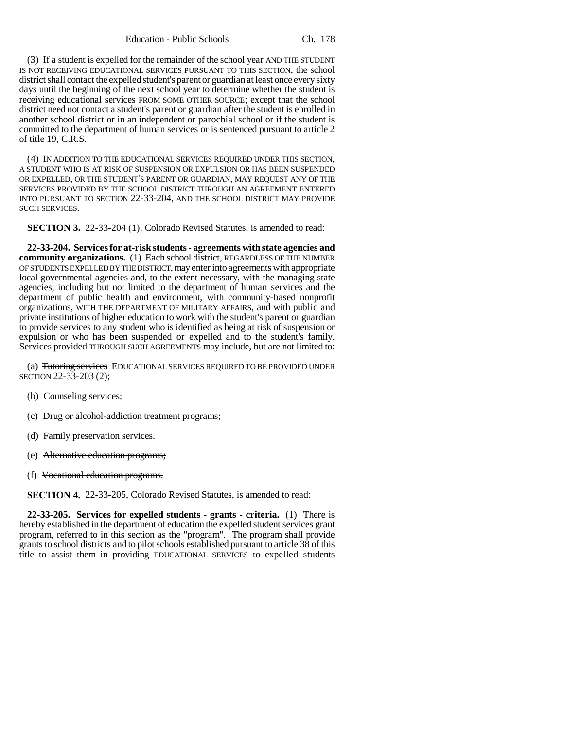Education - Public Schools Ch. 178

(3) If a student is expelled for the remainder of the school year AND THE STUDENT IS NOT RECEIVING EDUCATIONAL SERVICES PURSUANT TO THIS SECTION, the school district shall contact the expelled student's parent or guardian at least once every sixty days until the beginning of the next school year to determine whether the student is receiving educational services FROM SOME OTHER SOURCE; except that the school district need not contact a student's parent or guardian after the student is enrolled in another school district or in an independent or parochial school or if the student is committed to the department of human services or is sentenced pursuant to article 2 of title 19, C.R.S.

(4) IN ADDITION TO THE EDUCATIONAL SERVICES REQUIRED UNDER THIS SECTION, A STUDENT WHO IS AT RISK OF SUSPENSION OR EXPULSION OR HAS BEEN SUSPENDED OR EXPELLED, OR THE STUDENT'S PARENT OR GUARDIAN, MAY REQUEST ANY OF THE SERVICES PROVIDED BY THE SCHOOL DISTRICT THROUGH AN AGREEMENT ENTERED INTO PURSUANT TO SECTION 22-33-204, AND THE SCHOOL DISTRICT MAY PROVIDE SUCH SERVICES.

**SECTION 3.** 22-33-204 (1), Colorado Revised Statutes, is amended to read:

**22-33-204. Services for at-risk students - agreements with state agencies and community organizations.** (1) Each school district, REGARDLESS OF THE NUMBER OF STUDENTS EXPELLED BY THE DISTRICT, may enter into agreements with appropriate local governmental agencies and, to the extent necessary, with the managing state agencies, including but not limited to the department of human services and the department of public health and environment, with community-based nonprofit organizations, WITH THE DEPARTMENT OF MILITARY AFFAIRS, and with public and private institutions of higher education to work with the student's parent or guardian to provide services to any student who is identified as being at risk of suspension or expulsion or who has been suspended or expelled and to the student's family. Services provided THROUGH SUCH AGREEMENTS may include, but are not limited to:

(a) Tutoring services EDUCATIONAL SERVICES REQUIRED TO BE PROVIDED UNDER SECTION 22-33-203 (2);

- (b) Counseling services;
- (c) Drug or alcohol-addiction treatment programs;
- (d) Family preservation services.
- (e) Alternative education programs;
- (f) Vocational education programs.

**SECTION 4.** 22-33-205, Colorado Revised Statutes, is amended to read:

**22-33-205. Services for expelled students - grants - criteria.** (1) There is hereby established in the department of education the expelled student services grant program, referred to in this section as the "program". The program shall provide grants to school districts and to pilot schools established pursuant to article 38 of this title to assist them in providing EDUCATIONAL SERVICES to expelled students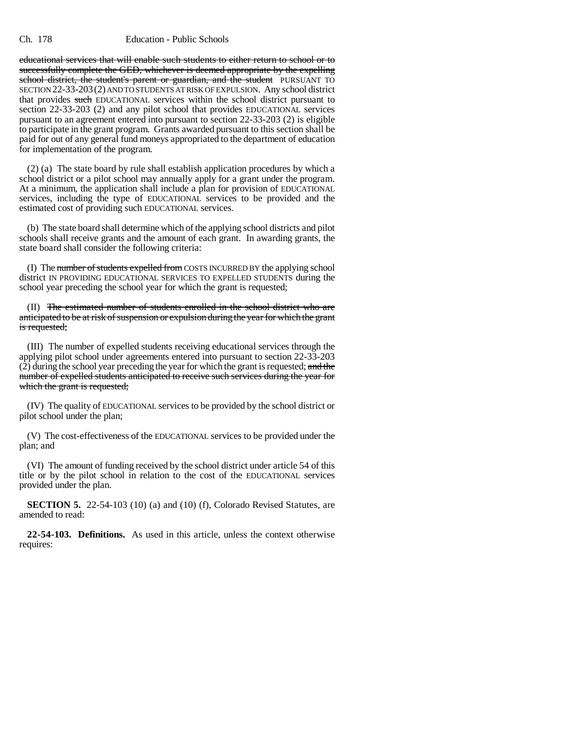## Ch. 178 Education - Public Schools

educational services that will enable such students to either return to school or to successfully complete the GED, whichever is deemed appropriate by the expelling school district, the student's parent or guardian, and the student PURSUANT TO SECTION 22-33-203(2) AND TO STUDENTS AT RISK OF EXPULSION. Any school district that provides such EDUCATIONAL services within the school district pursuant to section 22-33-203 (2) and any pilot school that provides EDUCATIONAL services pursuant to an agreement entered into pursuant to section 22-33-203 (2) is eligible to participate in the grant program. Grants awarded pursuant to this section shall be paid for out of any general fund moneys appropriated to the department of education for implementation of the program.

(2) (a) The state board by rule shall establish application procedures by which a school district or a pilot school may annually apply for a grant under the program. At a minimum, the application shall include a plan for provision of EDUCATIONAL services, including the type of EDUCATIONAL services to be provided and the estimated cost of providing such EDUCATIONAL services.

(b) The state board shall determine which of the applying school districts and pilot schools shall receive grants and the amount of each grant. In awarding grants, the state board shall consider the following criteria:

(I) The number of students expelled from COSTS INCURRED BY the applying school district IN PROVIDING EDUCATIONAL SERVICES TO EXPELLED STUDENTS during the school year preceding the school year for which the grant is requested;

(II) The estimated number of students enrolled in the school district who are anticipated to be at risk of suspension or expulsion during the year for which the grant is requested;

(III) The number of expelled students receiving educational services through the applying pilot school under agreements entered into pursuant to section 22-33-203  $(2)$  during the school year preceding the year for which the grant is requested; and the number of expelled students anticipated to receive such services during the year for which the grant is requested;

(IV) The quality of EDUCATIONAL services to be provided by the school district or pilot school under the plan;

(V) The cost-effectiveness of the EDUCATIONAL services to be provided under the plan; and

(VI) The amount of funding received by the school district under article 54 of this title or by the pilot school in relation to the cost of the EDUCATIONAL services provided under the plan.

**SECTION 5.** 22-54-103 (10) (a) and (10) (f), Colorado Revised Statutes, are amended to read:

**22-54-103. Definitions.** As used in this article, unless the context otherwise requires: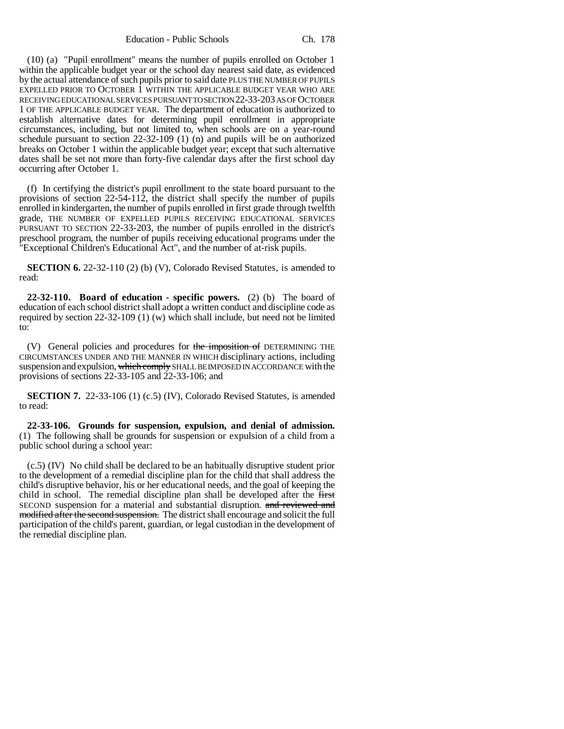Education - Public Schools Ch. 178

(10) (a) "Pupil enrollment" means the number of pupils enrolled on October 1 within the applicable budget year or the school day nearest said date, as evidenced by the actual attendance of such pupils prior to said date PLUS THE NUMBER OF PUPILS EXPELLED PRIOR TO OCTOBER 1 WITHIN THE APPLICABLE BUDGET YEAR WHO ARE RECEIVING EDUCATIONAL SERVICES PURSUANT TO SECTION 22-33-203 AS OF OCTOBER 1 OF THE APPLICABLE BUDGET YEAR. The department of education is authorized to establish alternative dates for determining pupil enrollment in appropriate circumstances, including, but not limited to, when schools are on a year-round schedule pursuant to section 22-32-109 (1) (n) and pupils will be on authorized breaks on October 1 within the applicable budget year; except that such alternative dates shall be set not more than forty-five calendar days after the first school day occurring after October 1.

(f) In certifying the district's pupil enrollment to the state board pursuant to the provisions of section 22-54-112, the district shall specify the number of pupils enrolled in kindergarten, the number of pupils enrolled in first grade through twelfth grade, THE NUMBER OF EXPELLED PUPILS RECEIVING EDUCATIONAL SERVICES PURSUANT TO SECTION 22-33-203, the number of pupils enrolled in the district's preschool program, the number of pupils receiving educational programs under the "Exceptional Children's Educational Act", and the number of at-risk pupils.

**SECTION 6.** 22-32-110 (2) (b) (V), Colorado Revised Statutes, is amended to read:

**22-32-110. Board of education - specific powers.** (2) (b) The board of education of each school district shall adopt a written conduct and discipline code as required by section 22-32-109 (1) (w) which shall include, but need not be limited to:

(V) General policies and procedures for the imposition of DETERMINING THE CIRCUMSTANCES UNDER AND THE MANNER IN WHICH disciplinary actions, including suspension and expulsion, which comply SHALL BE IMPOSED IN ACCORDANCE with the provisions of sections 22-33-105 and 22-33-106; and

**SECTION 7.** 22-33-106 (1) (c.5) (IV), Colorado Revised Statutes, is amended to read:

**22-33-106. Grounds for suspension, expulsion, and denial of admission.** (1) The following shall be grounds for suspension or expulsion of a child from a public school during a school year:

(c.5) (IV) No child shall be declared to be an habitually disruptive student prior to the development of a remedial discipline plan for the child that shall address the child's disruptive behavior, his or her educational needs, and the goal of keeping the child in school. The remedial discipline plan shall be developed after the first SECOND suspension for a material and substantial disruption. and reviewed and modified after the second suspension. The district shall encourage and solicit the full participation of the child's parent, guardian, or legal custodian in the development of the remedial discipline plan.